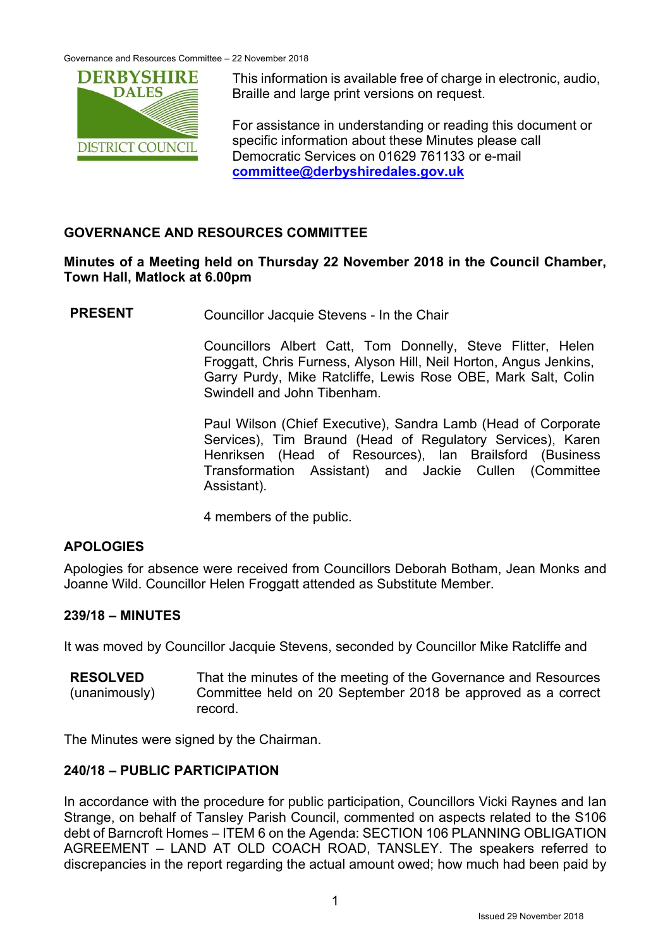Governance and Resources Committee – 22 November 2018



This information is available free of charge in electronic, audio, Braille and large print versions on request.

For assistance in understanding or reading this document or specific information about these Minutes please call Democratic Services on 01629 761133 or e-mail **committee@derbyshiredales.gov.uk**

# **GOVERNANCE AND RESOURCES COMMITTEE**

### **Minutes of a Meeting held on Thursday 22 November 2018 in the Council Chamber, Town Hall, Matlock at 6.00pm**

**PRESENT** Councillor Jacquie Stevens - In the Chair

 Councillors Albert Catt, Tom Donnelly, Steve Flitter, Helen Froggatt, Chris Furness, Alyson Hill, Neil Horton, Angus Jenkins, Garry Purdy, Mike Ratcliffe, Lewis Rose OBE, Mark Salt, Colin Swindell and John Tibenham.

 Paul Wilson (Chief Executive), Sandra Lamb (Head of Corporate Services), Tim Braund (Head of Regulatory Services), Karen Henriksen (Head of Resources), Ian Brailsford (Business Transformation Assistant) and Jackie Cullen (Committee Assistant).

4 members of the public.

# **APOLOGIES**

Apologies for absence were received from Councillors Deborah Botham, Jean Monks and Joanne Wild. Councillor Helen Froggatt attended as Substitute Member.

# **239/18 – MINUTES**

It was moved by Councillor Jacquie Stevens, seconded by Councillor Mike Ratcliffe and

**RESOLVED**  (unanimously) That the minutes of the meeting of the Governance and Resources Committee held on 20 September 2018 be approved as a correct record.

The Minutes were signed by the Chairman.

# **240/18 – PUBLIC PARTICIPATION**

In accordance with the procedure for public participation, Councillors Vicki Raynes and Ian Strange, on behalf of Tansley Parish Council, commented on aspects related to the S106 debt of Barncroft Homes – ITEM 6 on the Agenda: SECTION 106 PLANNING OBLIGATION AGREEMENT – LAND AT OLD COACH ROAD, TANSLEY. The speakers referred to discrepancies in the report regarding the actual amount owed; how much had been paid by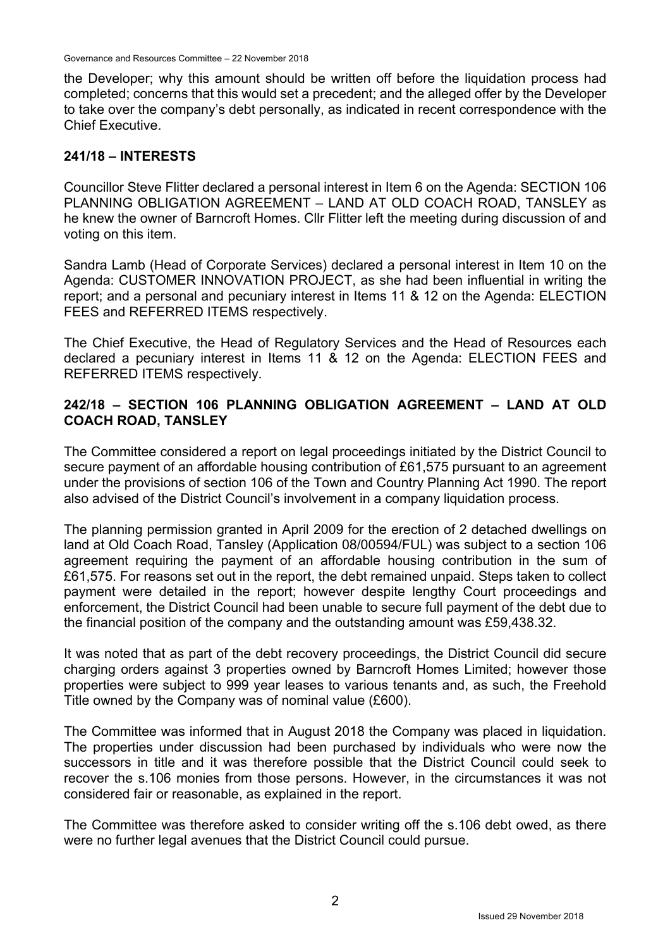Governance and Resources Committee – 22 November 2018

the Developer; why this amount should be written off before the liquidation process had completed; concerns that this would set a precedent; and the alleged offer by the Developer to take over the company's debt personally, as indicated in recent correspondence with the Chief Executive.

### **241/18 – INTERESTS**

Councillor Steve Flitter declared a personal interest in Item 6 on the Agenda: SECTION 106 PLANNING OBLIGATION AGREEMENT – LAND AT OLD COACH ROAD, TANSLEY as he knew the owner of Barncroft Homes. Cllr Flitter left the meeting during discussion of and voting on this item.

Sandra Lamb (Head of Corporate Services) declared a personal interest in Item 10 on the Agenda: CUSTOMER INNOVATION PROJECT, as she had been influential in writing the report; and a personal and pecuniary interest in Items 11 & 12 on the Agenda: ELECTION FEES and REFERRED ITEMS respectively.

The Chief Executive, the Head of Regulatory Services and the Head of Resources each declared a pecuniary interest in Items 11 & 12 on the Agenda: ELECTION FEES and REFERRED ITEMS respectively.

### **242/18 – SECTION 106 PLANNING OBLIGATION AGREEMENT – LAND AT OLD COACH ROAD, TANSLEY**

The Committee considered a report on legal proceedings initiated by the District Council to secure payment of an affordable housing contribution of £61,575 pursuant to an agreement under the provisions of section 106 of the Town and Country Planning Act 1990. The report also advised of the District Council's involvement in a company liquidation process.

The planning permission granted in April 2009 for the erection of 2 detached dwellings on land at Old Coach Road, Tansley (Application 08/00594/FUL) was subject to a section 106 agreement requiring the payment of an affordable housing contribution in the sum of £61,575. For reasons set out in the report, the debt remained unpaid. Steps taken to collect payment were detailed in the report; however despite lengthy Court proceedings and enforcement, the District Council had been unable to secure full payment of the debt due to the financial position of the company and the outstanding amount was £59,438.32.

It was noted that as part of the debt recovery proceedings, the District Council did secure charging orders against 3 properties owned by Barncroft Homes Limited; however those properties were subject to 999 year leases to various tenants and, as such, the Freehold Title owned by the Company was of nominal value (£600).

The Committee was informed that in August 2018 the Company was placed in liquidation. The properties under discussion had been purchased by individuals who were now the successors in title and it was therefore possible that the District Council could seek to recover the s.106 monies from those persons. However, in the circumstances it was not considered fair or reasonable, as explained in the report.

The Committee was therefore asked to consider writing off the s.106 debt owed, as there were no further legal avenues that the District Council could pursue.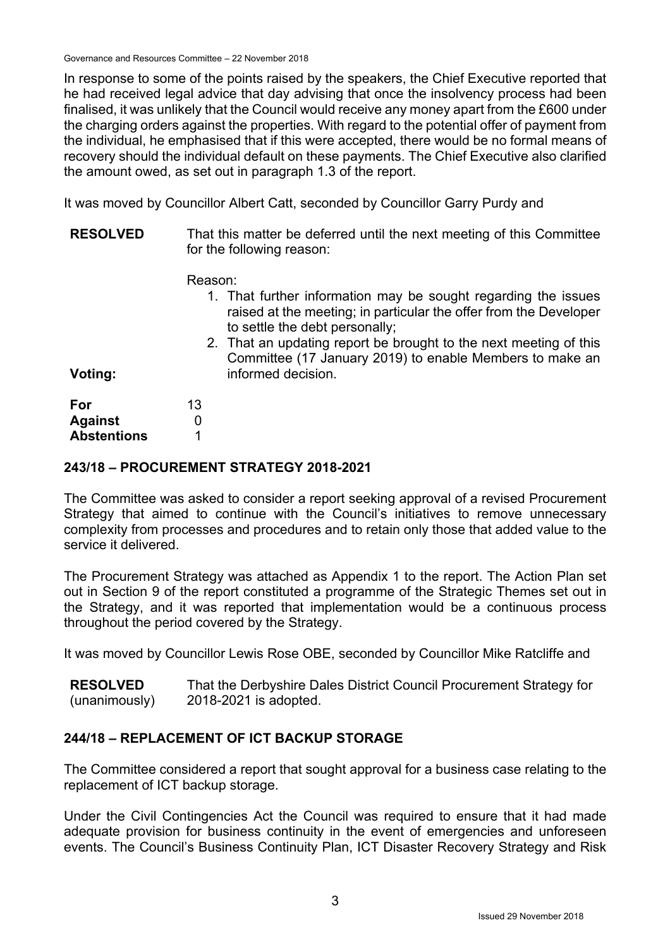Governance and Resources Committee – 22 November 2018

In response to some of the points raised by the speakers, the Chief Executive reported that he had received legal advice that day advising that once the insolvency process had been finalised, it was unlikely that the Council would receive any money apart from the £600 under the charging orders against the properties. With regard to the potential offer of payment from the individual, he emphasised that if this were accepted, there would be no formal means of recovery should the individual default on these payments. The Chief Executive also clarified the amount owed, as set out in paragraph 1.3 of the report.

It was moved by Councillor Albert Catt, seconded by Councillor Garry Purdy and

| <b>RESOLVED</b> | That this matter be deferred until the next meeting of this Committee |
|-----------------|-----------------------------------------------------------------------|
|                 | for the following reason:                                             |

Reason:

- 1. That further information may be sought regarding the issues raised at the meeting; in particular the offer from the Developer to settle the debt personally;
- 2. That an updating report be brought to the next meeting of this Committee (17 January 2019) to enable Members to make an informed decision.

**Voting:** 

| For                | 13 |
|--------------------|----|
| <b>Against</b>     | 0  |
| <b>Abstentions</b> |    |

### **243/18 – PROCUREMENT STRATEGY 2018-2021**

The Committee was asked to consider a report seeking approval of a revised Procurement Strategy that aimed to continue with the Council's initiatives to remove unnecessary complexity from processes and procedures and to retain only those that added value to the service it delivered.

The Procurement Strategy was attached as Appendix 1 to the report. The Action Plan set out in Section 9 of the report constituted a programme of the Strategic Themes set out in the Strategy, and it was reported that implementation would be a continuous process throughout the period covered by the Strategy.

It was moved by Councillor Lewis Rose OBE, seconded by Councillor Mike Ratcliffe and

**RESOLVED**  (unanimously) That the Derbyshire Dales District Council Procurement Strategy for 2018-2021 is adopted.

# **244/18 – REPLACEMENT OF ICT BACKUP STORAGE**

The Committee considered a report that sought approval for a business case relating to the replacement of ICT backup storage.

Under the Civil Contingencies Act the Council was required to ensure that it had made adequate provision for business continuity in the event of emergencies and unforeseen events. The Council's Business Continuity Plan, ICT Disaster Recovery Strategy and Risk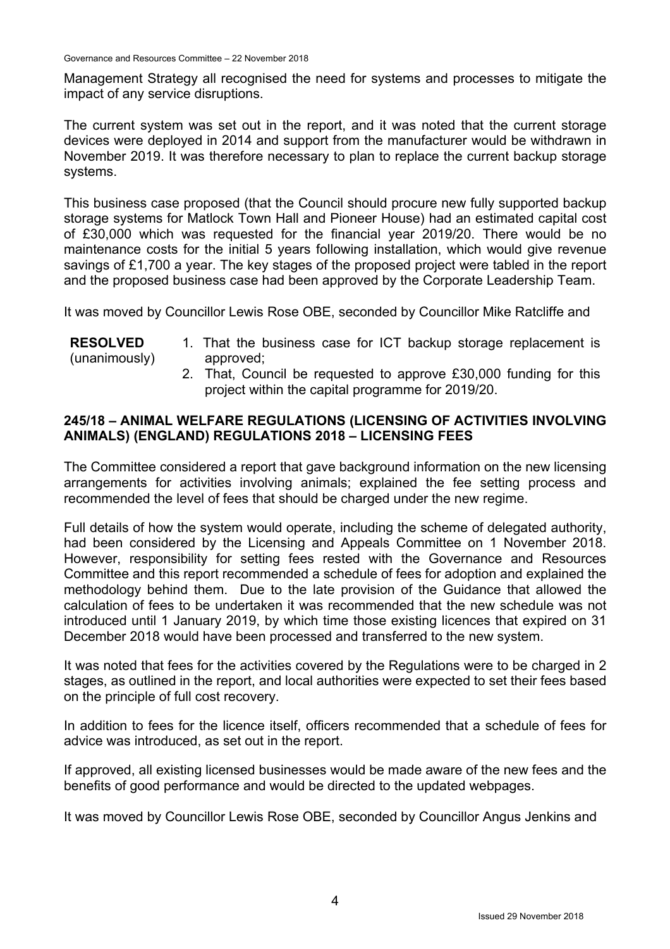Management Strategy all recognised the need for systems and processes to mitigate the impact of any service disruptions.

The current system was set out in the report, and it was noted that the current storage devices were deployed in 2014 and support from the manufacturer would be withdrawn in November 2019. It was therefore necessary to plan to replace the current backup storage systems.

This business case proposed (that the Council should procure new fully supported backup storage systems for Matlock Town Hall and Pioneer House) had an estimated capital cost of £30,000 which was requested for the financial year 2019/20. There would be no maintenance costs for the initial 5 years following installation, which would give revenue savings of £1,700 a year. The key stages of the proposed project were tabled in the report and the proposed business case had been approved by the Corporate Leadership Team.

It was moved by Councillor Lewis Rose OBE, seconded by Councillor Mike Ratcliffe and

#### **RESOLVED**  (unanimously) 1. That the business case for ICT backup storage replacement is approved;

2. That, Council be requested to approve £30,000 funding for this project within the capital programme for 2019/20.

### **245/18 – ANIMAL WELFARE REGULATIONS (LICENSING OF ACTIVITIES INVOLVING ANIMALS) (ENGLAND) REGULATIONS 2018 – LICENSING FEES**

The Committee considered a report that gave background information on the new licensing arrangements for activities involving animals; explained the fee setting process and recommended the level of fees that should be charged under the new regime.

Full details of how the system would operate, including the scheme of delegated authority, had been considered by the Licensing and Appeals Committee on 1 November 2018. However, responsibility for setting fees rested with the Governance and Resources Committee and this report recommended a schedule of fees for adoption and explained the methodology behind them. Due to the late provision of the Guidance that allowed the calculation of fees to be undertaken it was recommended that the new schedule was not introduced until 1 January 2019, by which time those existing licences that expired on 31 December 2018 would have been processed and transferred to the new system.

It was noted that fees for the activities covered by the Regulations were to be charged in 2 stages, as outlined in the report, and local authorities were expected to set their fees based on the principle of full cost recovery.

In addition to fees for the licence itself, officers recommended that a schedule of fees for advice was introduced, as set out in the report.

If approved, all existing licensed businesses would be made aware of the new fees and the benefits of good performance and would be directed to the updated webpages.

It was moved by Councillor Lewis Rose OBE, seconded by Councillor Angus Jenkins and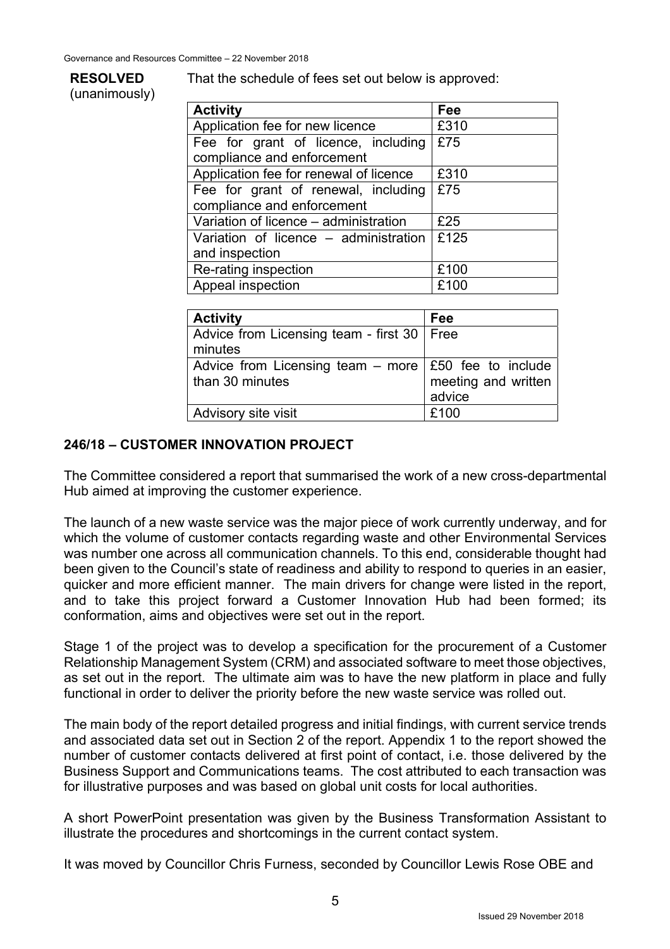# **RESOLVED**

(unanimously)

That the schedule of fees set out below is approved:

| <b>Activity</b>                        | Fee  |
|----------------------------------------|------|
| Application fee for new licence        | £310 |
| Fee for grant of licence, including    | £75  |
| compliance and enforcement             |      |
| Application fee for renewal of licence | £310 |
| Fee for grant of renewal, including    | £75  |
| compliance and enforcement             |      |
| Variation of licence – administration  | £25  |
| Variation of licence – administration  | £125 |
| and inspection                         |      |
| Re-rating inspection                   | £100 |
| Appeal inspection                      | £100 |

| <b>Activity</b>                                                                | Fee                           |
|--------------------------------------------------------------------------------|-------------------------------|
| Advice from Licensing team - first 30   Free<br>minutes                        |                               |
| Advice from Licensing team – more $\mid$ £50 fee to include<br>than 30 minutes | meeting and written<br>advice |
| <b>Advisory site visit</b>                                                     | £100                          |

### **246/18 – CUSTOMER INNOVATION PROJECT**

The Committee considered a report that summarised the work of a new cross-departmental Hub aimed at improving the customer experience.

The launch of a new waste service was the major piece of work currently underway, and for which the volume of customer contacts regarding waste and other Environmental Services was number one across all communication channels. To this end, considerable thought had been given to the Council's state of readiness and ability to respond to queries in an easier, quicker and more efficient manner. The main drivers for change were listed in the report, and to take this project forward a Customer Innovation Hub had been formed; its conformation, aims and objectives were set out in the report.

Stage 1 of the project was to develop a specification for the procurement of a Customer Relationship Management System (CRM) and associated software to meet those objectives, as set out in the report. The ultimate aim was to have the new platform in place and fully functional in order to deliver the priority before the new waste service was rolled out.

The main body of the report detailed progress and initial findings, with current service trends and associated data set out in Section 2 of the report. Appendix 1 to the report showed the number of customer contacts delivered at first point of contact, i.e. those delivered by the Business Support and Communications teams. The cost attributed to each transaction was for illustrative purposes and was based on global unit costs for local authorities.

A short PowerPoint presentation was given by the Business Transformation Assistant to illustrate the procedures and shortcomings in the current contact system.

It was moved by Councillor Chris Furness, seconded by Councillor Lewis Rose OBE and